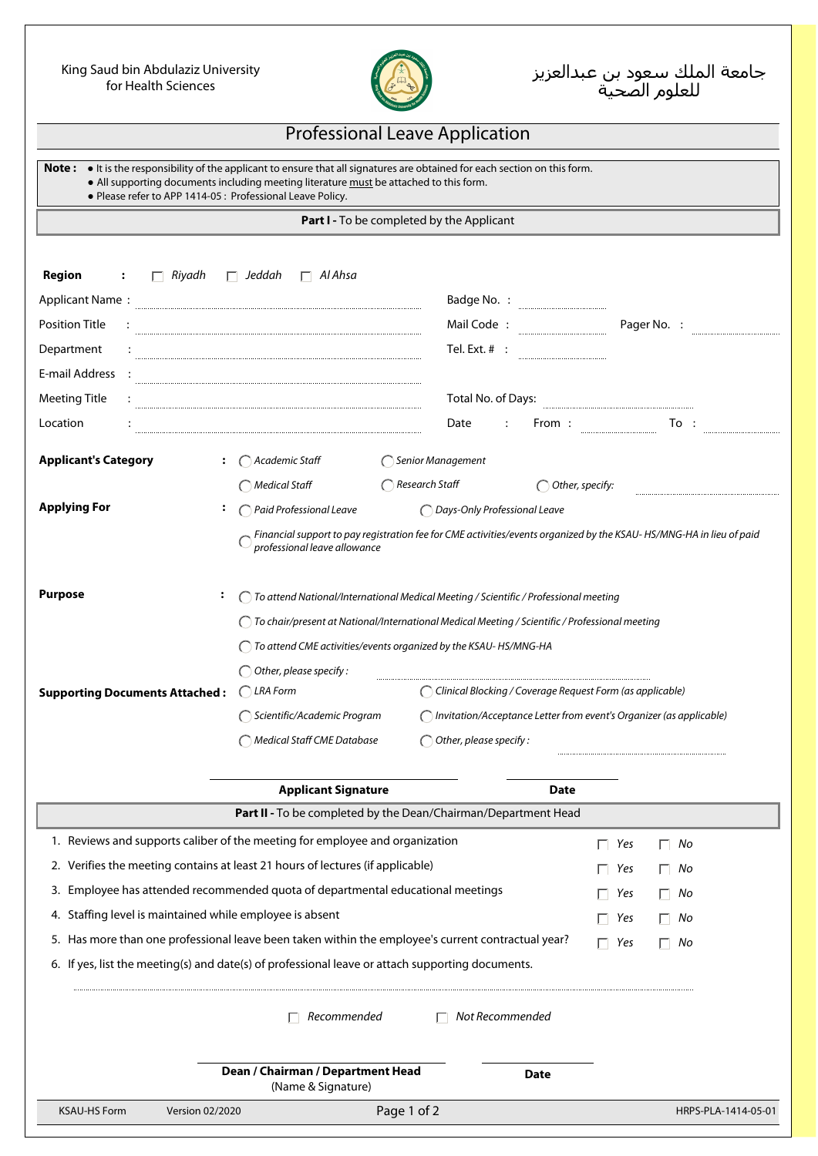## King Saud bin Abdulaziz University for Health Sciences



## Professional Leave Application

**Note :** ● It is the responsibility of the applicant to ensure that all signatures are obtained for each section on this form.

 **●** All supporting documents including meeting literature must be attached to this form.

 **●** Please refer to APP 1414-05 : Professional Leave Policy.

## **Part I -** To be completed by the Applicant

| <b>Region</b><br>Riyadh                                                                                                                                           | Jeddah<br>$\Box$ Al Ahsa                                                                                                                            |                                   |                         |  |  |
|-------------------------------------------------------------------------------------------------------------------------------------------------------------------|-----------------------------------------------------------------------------------------------------------------------------------------------------|-----------------------------------|-------------------------|--|--|
| <b>Applicant Name:</b>                                                                                                                                            | Badge No. :                                                                                                                                         |                                   |                         |  |  |
| <b>Position Title</b>                                                                                                                                             | Mail Code:                                                                                                                                          | Pager No. :                       |                         |  |  |
| Department                                                                                                                                                        |                                                                                                                                                     | Tel. Ext. $#$ :                   |                         |  |  |
| E-mail Address                                                                                                                                                    |                                                                                                                                                     |                                   |                         |  |  |
| <b>Meeting Title</b>                                                                                                                                              |                                                                                                                                                     | Total No. of Days:                |                         |  |  |
| Location                                                                                                                                                          |                                                                                                                                                     | Date<br>From:                     | To:                     |  |  |
| <b>Applicant's Category</b>                                                                                                                                       | $\bigcap$ Academic Staff<br>◯ Senior Management                                                                                                     |                                   |                         |  |  |
|                                                                                                                                                                   | $\bigcap$ Research Staff<br>Medical Staff                                                                                                           | $\bigcap$ Other, specify:         |                         |  |  |
| <b>Applying For</b>                                                                                                                                               | Paid Professional Leave                                                                                                                             | O Days-Only Professional Leave    |                         |  |  |
|                                                                                                                                                                   | Financial support to pay registration fee for CME activities/events organized by the KSAU-HS/MNG-HA in lieu of paid<br>professional leave allowance |                                   |                         |  |  |
| <b>Purpose</b>                                                                                                                                                    | To attend National/International Medical Meeting / Scientific / Professional meeting                                                                |                                   |                         |  |  |
|                                                                                                                                                                   | ◯ To chair/present at National/International Medical Meeting / Scientific / Professional meeting                                                    |                                   |                         |  |  |
|                                                                                                                                                                   | To attend CME activities/events organized by the KSAU-HS/MNG-HA                                                                                     |                                   |                         |  |  |
|                                                                                                                                                                   | $\bigcirc$ Other, please specify:                                                                                                                   |                                   |                         |  |  |
| <b>Supporting Documents Attached:</b>                                                                                                                             | $\bigcap$ LRA Form<br>C Clinical Blocking / Coverage Request Form (as applicable)                                                                   |                                   |                         |  |  |
|                                                                                                                                                                   | Scientific/Academic Program<br>( Invitation/Acceptance Letter from event's Organizer (as applicable)                                                |                                   |                         |  |  |
|                                                                                                                                                                   | Medical Staff CME Database                                                                                                                          | $\bigcirc$ Other, please specify: |                         |  |  |
|                                                                                                                                                                   |                                                                                                                                                     |                                   |                         |  |  |
|                                                                                                                                                                   | <b>Applicant Signature</b><br>Part II - To be completed by the Dean/Chairman/Department Head                                                        | <b>Date</b>                       |                         |  |  |
|                                                                                                                                                                   | 1. Reviews and supports caliber of the meeting for employee and organization                                                                        |                                   |                         |  |  |
|                                                                                                                                                                   |                                                                                                                                                     |                                   | Yes<br>$\Box$ No        |  |  |
| 2. Verifies the meeting contains at least 21 hours of lectures (if applicable)<br>3. Employee has attended recommended quota of departmental educational meetings |                                                                                                                                                     |                                   | $\Box$ Yes<br>$\Box$ No |  |  |
| 4. Staffing level is maintained while employee is absent                                                                                                          |                                                                                                                                                     |                                   | Yes<br>No<br>п          |  |  |
|                                                                                                                                                                   | 5. Has more than one professional leave been taken within the employee's current contractual year?                                                  |                                   | Yes<br>No<br>п<br>No    |  |  |
|                                                                                                                                                                   | 6. If yes, list the meeting(s) and date(s) of professional leave or attach supporting documents.                                                    | п                                 | Yes<br>П.               |  |  |
|                                                                                                                                                                   |                                                                                                                                                     |                                   |                         |  |  |
|                                                                                                                                                                   | Recommended                                                                                                                                         | Not Recommended                   |                         |  |  |
|                                                                                                                                                                   | Dean / Chairman / Department Head<br>(Name & Signature)                                                                                             | <b>Date</b>                       |                         |  |  |
| <b>KSAU-HS Form</b><br>Version 02/2020                                                                                                                            | Page 1 of 2                                                                                                                                         |                                   | HRPS-PLA-1414-05-01     |  |  |